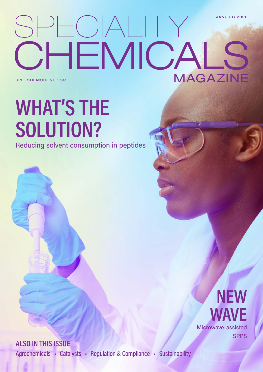### SPECIALITY OHEMICA MAGAZINE JAN/FEB 2022 SPECCHEMONLINE.COM

# WHAT'S THE SOLUTION?

Reducing solvent consumption in peptides

### **NEW** WAVE Microwave-assisted **SPPS**

ALSO IN THIS ISSUE

Agrochemicals • Catalysts • Regulation & Compliance • Sustainability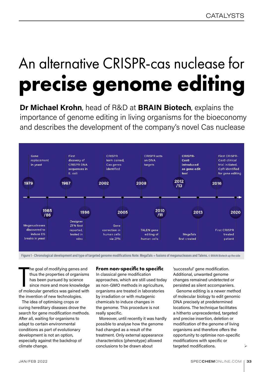## An alternative CRISPR-cas nuclease for **precise genome editing**

Dr Michael Krohn, head of R&D at BRAIN Biotech, explains the importance of genome editing in living organisms for the bioeconomy and describes the development of the company's novel Cas nuclease



Figure 1 - Chronological development and type of targeted genome modifications Note: MegaTals = fusions of meganucleases and Talens. © BRAIN Biotech up the side

The goal of modifying genes and<br>thus the properties of organisms<br>has been pursued by science<br>since more and more knowledge<br>of molecular genetics was gained with he goal of modifying genes and thus the properties of organisms has been pursued by science since more and more knowledge the invention of new technologies.

The idea of optimising crops or curing hereditary diseases drove the search for gene modification methods. After all, waiting for organisms to adapt to certain environmental conditions as part of evolutionary development is not an option, especially against the backdrop of climate change.

#### **From non-specific to specific**

In classical gene modification approaches, which are still used today as non-GMO methods in agriculture, organisms are treated in laboratories by irradiation or with mutagenic chemicals to induce changes in the genome. This procedure is not really specific.

Moreover, until recently it was hardly possible to analyse how the genome had changed as a result of the treatment. Only external appearance characteristics (phenotype) allowed conclusions to be drawn about

'successful' gene modification. Additional, unwanted genome changes remained undetected or persisted as silent accompaniers.

Genome editing is a newer method of molecular biology to edit genomic DNA precisely at predetermined locations. The technique facilitates a hitherto unprecedented, targeted and precise insertion, deletion or modification of the genome of living organisms and therefore offers the opportunity to optimise non-specific modifications with specific or targeted modifications.

 $\blacktriangleright$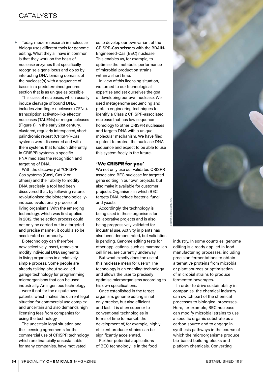Today, modern research in molecular biology uses different tools for genome editing. What they all have in common is that they work on the basis of nuclease enzymes that specifically recognise a gene locus and do so by interacting DNA-binding domains of the nuclease(s) with a sequence of bases in a predetermined genome section that is as unique as possible.  $\blacktriangleright$ 

This class of nucleases, which usually induce cleavage of bound DNA, includes zinc-finger nucleases (ZFNs), transcription activator-like effector nucleases (TALENs) or meganucleases (Figure 1). In the early 21st century, clustered, regularly interspaced, short palindromic repeat (CRISPR)-Cas systems were discovered and with them systems that function differently. In CRISPR systems, a specific RNA mediates the recognition and targeting of DNA.

With the discovery of \*CRISPR-Cas systems (Cas9, Cas12 or others) and their ability to modify DNA precisely, a tool had been discovered that, by following nature, revolutionised the biotechnologicallyinduced evolutionary process of living organisms. With the emerging technology, which was first applied in 2012, the selection process could not only be carried out in a targeted and precise manner, it could also be accelerated enormously.

Biotechnology can therefore now selectively insert, remove or modify individual DNA segments in living organisms in a relatively simple process. Some people are already talking about so-called garage technology for programming microorganisms that can be used industrially. An ingenious technology – were it not for the dispute over patents, which makes the current legal situation for commercial use complex and uncertain and also demands high licensing fees from companies for using the technology.

The uncertain legal situation and the licensing agreements for the commercial use of CRISPR technology, which are financially unsustainable for many companies, have motivated

us to develop our own variant of the CRISPR-Cas scissors with the BRAIN-Engineered-Cas (BEC) nuclease. This enables us, for example, to optimise the metabolic performance of microbial production strains within a short time.

In view of this licensing situation, we turned to our technological expertise and set ourselves the goal of developing our own nuclease. We used metagenome sequencing and protein engineering techniques to identify a Class 2 CRISPR-associated nuclease that has low sequence homology to other CRISPR nucleases and targets DNA with a unique molecular mechanism. We have filed a patent to protect the nuclease DNA sequence and expect to be able to use this system freely in the future.

#### **'We CRISPR for you'**

We not only use our validated CRISPRassociated BEC nuclease for targeted gene editing in our own projects, but also make it available for customer projects. Organisms in which BEC targets DNA include bacteria, fungi and yeasts.

Accordingly, the technology is being used in these organisms for collaborative projects and is also being progressively validated for industrial use. Activity in plants has also been demonstrated, but validation is pending. Genome editing tests for other applications, such as mammalian cell lines, are currently underway.

**BRAIN Biotech up the side**  $\circledcirc$  BRAIN Biotech up the side

But what exactly does the use of this nuclease mean for users? The technology is an enabling technology and allows the user to precisely optimise microorganisms according to his own specifications.

Once established in the target organism, genome editing is not only precise, but also efficient and fast. It is often superior to conventional technologies in terms of time to market: the development of, for example, highly efficient producer strains can be significantly accelerated.

Further potential applications of BEC technology lie in the food industry. In some countries, genome editing is already applied in food manufacturing processes, including precision fermentations to obtain alternative proteins from microbial or plant sources or optimisation of microbial strains to produce

fermented beverages. In order to drive sustainability in companies, the chemical industry can switch part of the chemical processes to biological processes. Here, for example, BEC nuclease can modify microbial strains to use a specific organic substrate as a carbon source and to engage in synthesis pathways in the course of which the microorganisms produce bio-based building blocks and platform chemicals. Converting